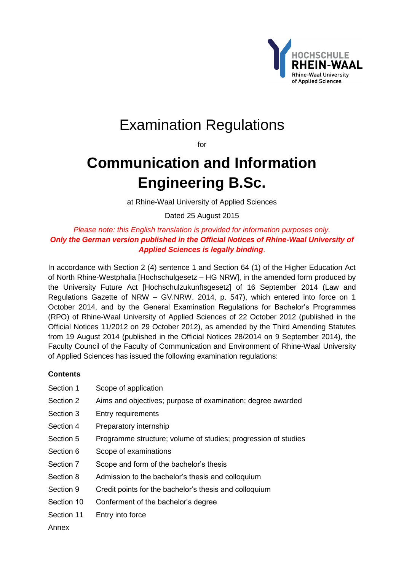

# Examination Regulations

for

# **Communication and Information Engineering B.Sc.**

at Rhine-Waal University of Applied Sciences

Dated 25 August 2015

*Please note: this English translation is provided for information purposes only. Only the German version published in the Official Notices of Rhine-Waal University of Applied Sciences is legally binding*.

In accordance with Section 2 (4) sentence 1 and Section 64 (1) of the Higher Education Act of North Rhine-Westphalia [Hochschulgesetz *–* HG NRW], in the amended form produced by the University Future Act [Hochschulzukunftsgesetz] of 16 September 2014 (Law and Regulations Gazette of NRW – GV.NRW. 2014, p. 547), which entered into force on 1 October 2014, and by the General Examination Regulations for Bachelor's Programmes (RPO) of Rhine-Waal University of Applied Sciences of 22 October 2012 (published in the Official Notices 11/2012 on 29 October 2012), as amended by the Third Amending Statutes from 19 August 2014 (published in the Official Notices 28/2014 on 9 September 2014), the Faculty Council of the Faculty of Communication and Environment of Rhine-Waal University of Applied Sciences has issued the following examination regulations:

# **Contents**

- [Section 1 Scope of application](#page-1-0)
- [Section 2 Aims and objectives; purpose of examination; degree awarded](#page-1-1)
- [Section 3 Entry requirements](#page-1-2)
- [Section 4 Preparatory internship](#page-2-0)
- [Section 5 Programme structure; volume of studies; progression of studies](#page-2-1)
- [Section 6 Scope of examinations](#page-3-0)
- [Section 7 Scope and form of the bachelor's thesis](#page-3-1)
- [Section 8 Admission to the bachelor's thesis and colloquium](#page-4-0)
- [Section 9 Credit points for the bachelor's thesis and colloquium](#page-4-1)
- [Section 10 Conferment of the bachelor's degree](#page-4-2)
- [Section 11 Entry into force](#page-4-3)

[Annex](#page-5-0)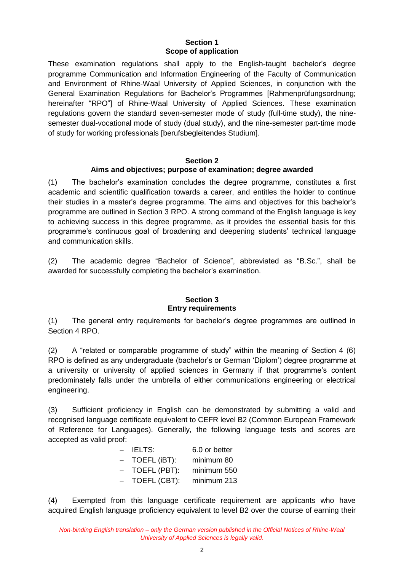#### **Section 1 Scope of application**

<span id="page-1-0"></span>These examination regulations shall apply to the English-taught bachelor's degree programme Communication and Information Engineering of the Faculty of Communication and Environment of Rhine-Waal University of Applied Sciences, in conjunction with the General Examination Regulations for Bachelor's Programmes [Rahmenprüfungsordnung; hereinafter "RPO"] of Rhine-Waal University of Applied Sciences. These examination regulations govern the standard seven-semester mode of study (full-time study), the ninesemester dual-vocational mode of study (dual study), and the nine-semester part-time mode of study for working professionals [berufsbegleitendes Studium].

#### **Section 2 Aims and objectives; purpose of examination; degree awarded**

<span id="page-1-1"></span>(1) The bachelor's examination concludes the degree programme, constitutes a first academic and scientific qualification towards a career, and entitles the holder to continue their studies in a master's degree programme. The aims and objectives for this bachelor's programme are outlined in Section 3 RPO. A strong command of the English language is key to achieving success in this degree programme, as it provides the essential basis for this programme's continuous goal of broadening and deepening students' technical language and communication skills.

(2) The academic degree "Bachelor of Science", abbreviated as "B.Sc.", shall be awarded for successfully completing the bachelor's examination.

#### **Section 3 Entry requirements**

<span id="page-1-2"></span>(1) The general entry requirements for bachelor's degree programmes are outlined in Section 4 RPO.

(2) A "related or comparable programme of study" within the meaning of Section 4 (6) RPO is defined as any undergraduate (bachelor's or German 'Diplom') degree programme at a university or university of applied sciences in Germany if that programme's content predominately falls under the umbrella of either communications engineering or electrical engineering.

(3) Sufficient proficiency in English can be demonstrated by submitting a valid and recognised language certificate equivalent to CEFR level B2 (Common European Framework of Reference for Languages). Generally, the following language tests and scores are accepted as valid proof:

| $\overline{\phantom{0}}$ | <b>IELTS:</b> | 6.0 or better |
|--------------------------|---------------|---------------|
|                          | TOEFL (iBT):  | minimum 80    |
|                          | TOEFL (PBT):  | minimum 550   |
|                          | TOEFL (CBT):  | minimum 213   |

(4) Exempted from this language certificate requirement are applicants who have acquired English language proficiency equivalent to level B2 over the course of earning their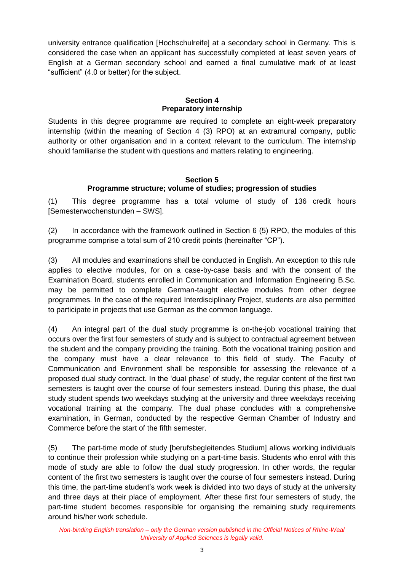university entrance qualification [Hochschulreife] at a secondary school in Germany. This is considered the case when an applicant has successfully completed at least seven years of English at a German secondary school and earned a final cumulative mark of at least "sufficient" (4.0 or better) for the subject.

#### **Section 4 Preparatory internship**

<span id="page-2-0"></span>Students in this degree programme are required to complete an eight-week preparatory internship (within the meaning of Section 4 (3) RPO) at an extramural company, public authority or other organisation and in a context relevant to the curriculum. The internship should familiarise the student with questions and matters relating to engineering.

### **Section 5 Programme structure; volume of studies; progression of studies**

<span id="page-2-1"></span>(1) This degree programme has a total volume of study of 136 credit hours [Semesterwochenstunden – SWS].

(2) In accordance with the framework outlined in Section 6 (5) RPO, the modules of this programme comprise a total sum of 210 credit points (hereinafter "CP").

(3) All modules and examinations shall be conducted in English. An exception to this rule applies to elective modules, for on a case-by-case basis and with the consent of the Examination Board, students enrolled in Communication and Information Engineering B.Sc. may be permitted to complete German-taught elective modules from other degree programmes. In the case of the required Interdisciplinary Project, students are also permitted to participate in projects that use German as the common language.

(4) An integral part of the dual study programme is on-the-job vocational training that occurs over the first four semesters of study and is subject to contractual agreement between the student and the company providing the training. Both the vocational training position and the company must have a clear relevance to this field of study. The Faculty of Communication and Environment shall be responsible for assessing the relevance of a proposed dual study contract. In the 'dual phase' of study, the regular content of the first two semesters is taught over the course of four semesters instead. During this phase, the dual study student spends two weekdays studying at the university and three weekdays receiving vocational training at the company. The dual phase concludes with a comprehensive examination, in German, conducted by the respective German Chamber of Industry and Commerce before the start of the fifth semester.

(5) The part-time mode of study [berufsbegleitendes Studium] allows working individuals to continue their profession while studying on a part-time basis. Students who enrol with this mode of study are able to follow the dual study progression. In other words, the regular content of the first two semesters is taught over the course of four semesters instead. During this time, the part-time student's work week is divided into two days of study at the university and three days at their place of employment. After these first four semesters of study, the part-time student becomes responsible for organising the remaining study requirements around his/her work schedule.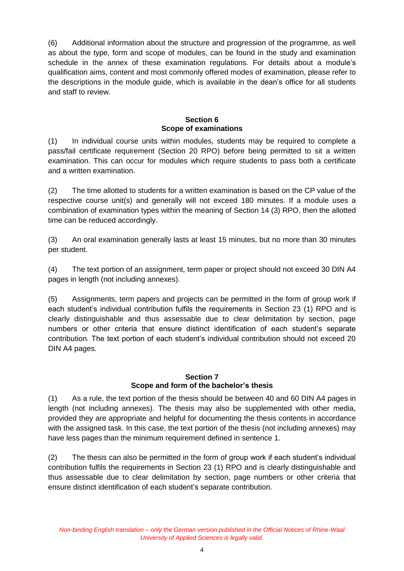(6) Additional information about the structure and progression of the programme, as well as about the type, form and scope of modules, can be found in the study and examination schedule in the annex of these examination regulations. For details about a module's qualification aims, content and most commonly offered modes of examination, please refer to the descriptions in the module guide, which is available in the dean's office for all students and staff to review.

### **Section 6 Scope of examinations**

<span id="page-3-0"></span>(1) In individual course units within modules, students may be required to complete a pass/fail certificate requirement (Section 20 RPO) before being permitted to sit a written examination. This can occur for modules which require students to pass both a certificate and a written examination.

(2) The time allotted to students for a written examination is based on the CP value of the respective course unit(s) and generally will not exceed 180 minutes. If a module uses a combination of examination types within the meaning of Section 14 (3) RPO, then the allotted time can be reduced accordingly.

(3) An oral examination generally lasts at least 15 minutes, but no more than 30 minutes per student.

(4) The text portion of an assignment, term paper or project should not exceed 30 DIN A4 pages in length (not including annexes).

(5) Assignments, term papers and projects can be permitted in the form of group work if each student's individual contribution fulfils the requirements in Section 23 (1) RPO and is clearly distinguishable and thus assessable due to clear delimitation by section, page numbers or other criteria that ensure distinct identification of each student's separate contribution. The text portion of each student's individual contribution should not exceed 20 DIN A4 pages.

#### **Section 7 Scope and form of the bachelor's thesis**

<span id="page-3-1"></span>(1) As a rule, the text portion of the thesis should be between 40 and 60 DIN A4 pages in length (not including annexes). The thesis may also be supplemented with other media, provided they are appropriate and helpful for documenting the thesis contents in accordance with the assigned task. In this case, the text portion of the thesis (not including annexes) may have less pages than the minimum requirement defined in sentence 1.

(2) The thesis can also be permitted in the form of group work if each student's individual contribution fulfils the requirements in Section 23 (1) RPO and is clearly distinguishable and thus assessable due to clear delimitation by section, page numbers or other criteria that ensure distinct identification of each student's separate contribution.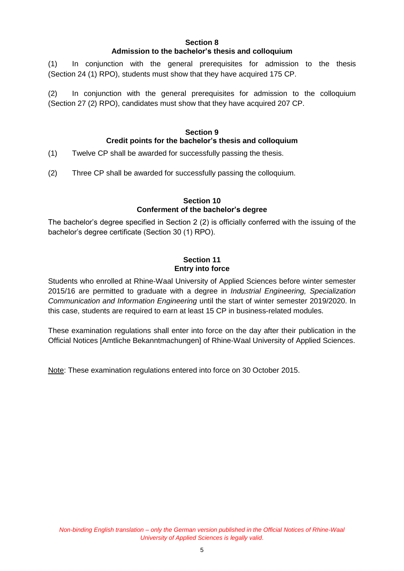#### **Section 8 Admission to the bachelor's thesis and colloquium**

<span id="page-4-0"></span>(1) In conjunction with the general prerequisites for admission to the thesis (Section 24 (1) RPO), students must show that they have acquired 175 CP.

(2) In conjunction with the general prerequisites for admission to the colloquium (Section 27 (2) RPO), candidates must show that they have acquired 207 CP.

## **Section 9 Credit points for the bachelor's thesis and colloquium**

- <span id="page-4-1"></span>(1) Twelve CP shall be awarded for successfully passing the thesis.
- (2) Three CP shall be awarded for successfully passing the colloquium.

### **Section 10 Conferment of the bachelor's degree**

<span id="page-4-2"></span>The bachelor's degree specified in Section 2 (2) is officially conferred with the issuing of the bachelor's degree certificate (Section 30 (1) RPO).

#### **Section 11 Entry into force**

<span id="page-4-3"></span>Students who enrolled at Rhine-Waal University of Applied Sciences before winter semester 2015/16 are permitted to graduate with a degree in *Industrial Engineering, Specialization Communication and Information Engineering* until the start of winter semester 2019/2020. In this case, students are required to earn at least 15 CP in business-related modules.

These examination regulations shall enter into force on the day after their publication in the Official Notices [Amtliche Bekanntmachungen] of Rhine-Waal University of Applied Sciences.

Note: These examination regulations entered into force on 30 October 2015.